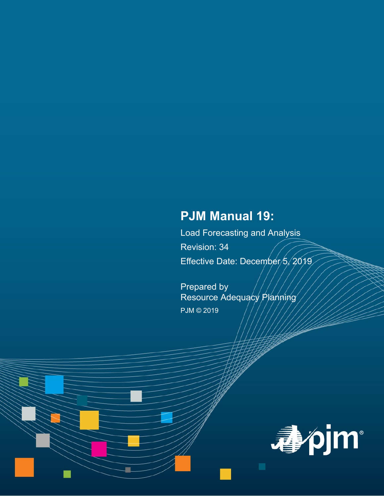# **PJM Manual 19:**

Load Forecasting and Analysis Revision: 34 Effective Date: December 5, 2019

Prepared by Resource Adequacy Planning PJM © 2019

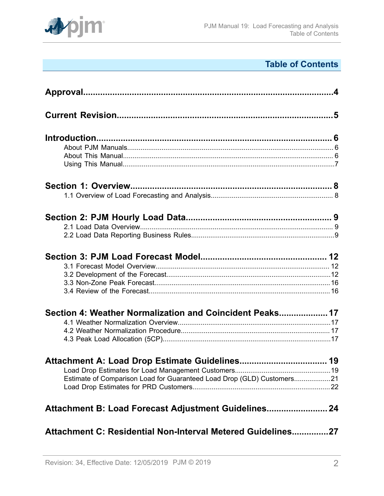

# **Table of Contents**

| Section 4: Weather Normalization and Coincident Peaks 17               |     |
|------------------------------------------------------------------------|-----|
|                                                                        |     |
|                                                                        |     |
|                                                                        |     |
|                                                                        |     |
|                                                                        |     |
| Estimate of Comparison Load for Guaranteed Load Drop (GLD) Customers21 |     |
|                                                                        |     |
| Attachment B: Load Forecast Adjustment Guidelines 24                   |     |
| Attachment C: Residential Non-Interval Metered Guidelines              | .27 |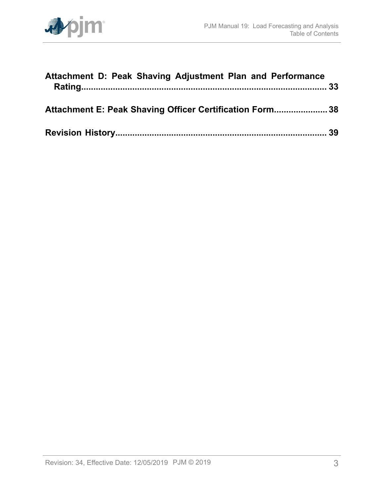

| Attachment D: Peak Shaving Adjustment Plan and Performance |  |
|------------------------------------------------------------|--|
| Attachment E: Peak Shaving Officer Certification Form 38   |  |
|                                                            |  |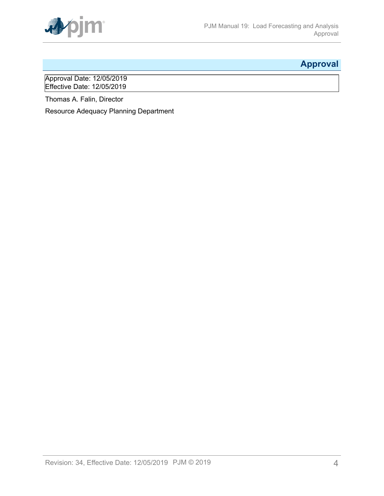

# <span id="page-3-0"></span>**Approval**

Approval Date: 12/05/2019 Effective Date: 12/05/2019

Thomas A. Falin, Director

Resource Adequacy Planning Department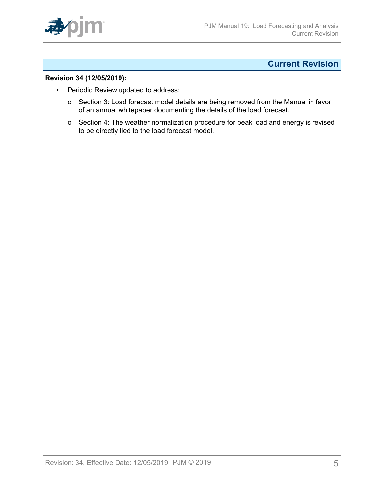

## <span id="page-4-0"></span>**Current Revision**

#### **Revision 34 (12/05/2019):**

- Periodic Review updated to address:
	- o Section 3: Load forecast model details are being removed from the Manual in favor of an annual whitepaper documenting the details of the load forecast.
	- o Section 4: The weather normalization procedure for peak load and energy is revised to be directly tied to the load forecast model.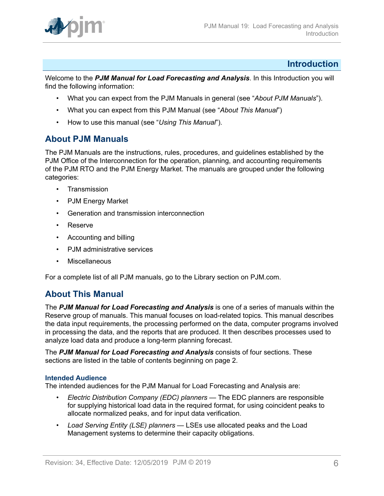

## <span id="page-5-0"></span>**Introduction**

Welcome to the *PJM Manual for Load Forecasting and Analysis*. In this Introduction you will find the following information:

- What you can expect from the PJM Manuals in general (see "*About PJM Manuals*").
- What you can expect from this PJM Manual (see "*About This Manual*")
- How to use this manual (see "*Using This Manual*").

## <span id="page-5-1"></span>**About PJM Manuals**

The PJM Manuals are the instructions, rules, procedures, and guidelines established by the PJM Office of the Interconnection for the operation, planning, and accounting requirements of the PJM RTO and the PJM Energy Market. The manuals are grouped under the following categories:

- Transmission
- PJM Energy Market
- Generation and transmission interconnection
- Reserve
- Accounting and billing
- PJM administrative services
- **Miscellaneous**

For a complete list of all PJM manuals, go to the Library section on PJM.com.

## <span id="page-5-2"></span>**About This Manual**

The *PJM Manual for Load Forecasting and Analysis* is one of a series of manuals within the Reserve group of manuals. This manual focuses on load-related topics. This manual describes the data input requirements, the processing performed on the data, computer programs involved in processing the data, and the reports that are produced. It then describes processes used to analyze load data and produce a long-term planning forecast.

The *PJM Manual for Load Forecasting and Analysis* consists of four sections. These sections are listed in the table of contents beginning on page 2.

## **Intended Audience**

The intended audiences for the PJM Manual for Load Forecasting and Analysis are:

- *Electric Distribution Company (EDC) planners* The EDC planners are responsible for supplying historical load data in the required format, for using coincident peaks to allocate normalized peaks, and for input data verification.
- *Load Serving Entity (LSE) planners*  LSEs use allocated peaks and the Load Management systems to determine their capacity obligations.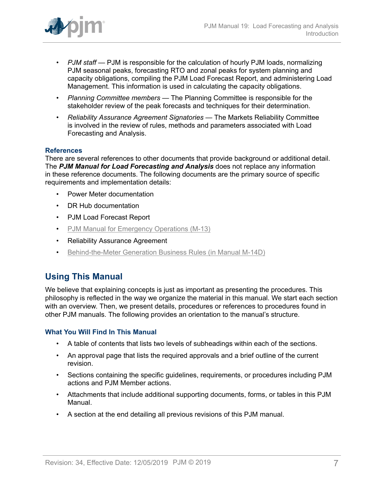

- *PJM staff* PJM is responsible for the calculation of hourly PJM loads, normalizing PJM seasonal peaks, forecasting RTO and zonal peaks for system planning and capacity obligations, compiling the PJM Load Forecast Report, and administering Load Management. This information is used in calculating the capacity obligations.
- *Planning Committee members* The Planning Committee is responsible for the stakeholder review of the peak forecasts and techniques for their determination.
- *Reliability Assurance Agreement Signatories* The Markets Reliability Committee is involved in the review of rules, methods and parameters associated with Load Forecasting and Analysis.

## **References**

There are several references to other documents that provide background or additional detail. The *PJM Manual for Load Forecasting and Analysis* does not replace any information in these reference documents. The following documents are the primary source of specific requirements and implementation details:

- Power Meter documentation
- DR Hub documentation
- PJM Load Forecast Report
- [PJM Manual for Emergency Operations \(M-13\)](http://pjm.com/~/media/documents/manuals/m13.ashx)
- Reliability Assurance Agreement
- [Behind-the-Meter Generation Business Rules \(in Manual M-14D\)](http://pjm.com/~/media/documents/manuals/m14d.ashx)

## <span id="page-6-0"></span>**Using This Manual**

We believe that explaining concepts is just as important as presenting the procedures. This philosophy is reflected in the way we organize the material in this manual. We start each section with an overview. Then, we present details, procedures or references to procedures found in other PJM manuals. The following provides an orientation to the manual's structure.

#### **What You Will Find In This Manual**

- A table of contents that lists two levels of subheadings within each of the sections.
- An approval page that lists the required approvals and a brief outline of the current revision.
- Sections containing the specific guidelines, requirements, or procedures including PJM actions and PJM Member actions.
- Attachments that include additional supporting documents, forms, or tables in this PJM Manual.
- A section at the end detailing all previous revisions of this PJM manual.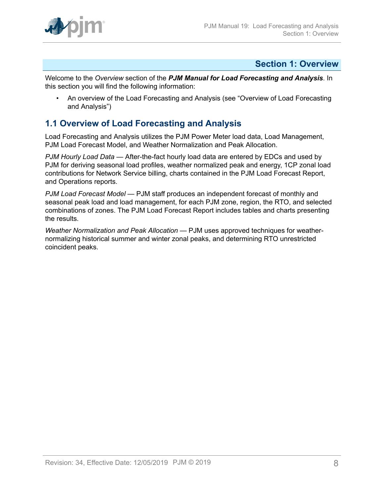## <span id="page-7-0"></span>**Section 1: Overview**

Welcome to the *Overview* section of the *PJM Manual for Load Forecasting and Analysis*. In this section you will find the following information:

• An overview of the Load Forecasting and Analysis (see "Overview of Load Forecasting and Analysis")

## <span id="page-7-1"></span>**1.1 Overview of Load Forecasting and Analysis**

Load Forecasting and Analysis utilizes the PJM Power Meter load data, Load Management, PJM Load Forecast Model, and Weather Normalization and Peak Allocation.

*PJM Hourly Load Data* — After-the-fact hourly load data are entered by EDCs and used by PJM for deriving seasonal load profiles, weather normalized peak and energy, 1CP zonal load contributions for Network Service billing, charts contained in the PJM Load Forecast Report, and Operations reports*.*

*PJM Load Forecast Model* — PJM staff produces an independent forecast of monthly and seasonal peak load and load management, for each PJM zone, region, the RTO, and selected combinations of zones. The PJM Load Forecast Report includes tables and charts presenting the results*.*

*Weather Normalization and Peak Allocation* — PJM uses approved techniques for weathernormalizing historical summer and winter zonal peaks, and determining RTO unrestricted coincident peaks.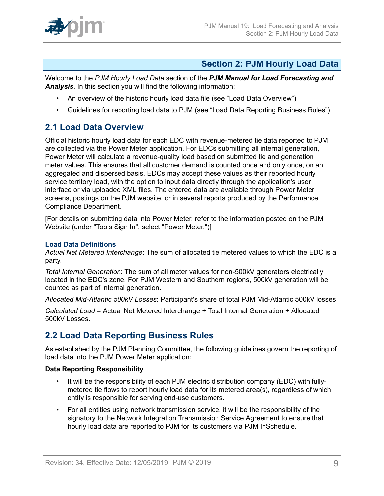

## <span id="page-8-0"></span>**Section 2: PJM Hourly Load Data**

Welcome to the *PJM Hourly Load Data* section of the *PJM Manual for Load Forecasting and Analysis*. In this section you will find the following information:

- An overview of the historic hourly load data file (see "Load Data Overview")
- Guidelines for reporting load data to PJM (see "Load Data Reporting Business Rules")

## <span id="page-8-1"></span>**2.1 Load Data Overview**

Official historic hourly load data for each EDC with revenue-metered tie data reported to PJM are collected via the Power Meter application. For EDCs submitting all internal generation, Power Meter will calculate a revenue-quality load based on submitted tie and generation meter values. This ensures that all customer demand is counted once and only once, on an aggregated and dispersed basis. EDCs may accept these values as their reported hourly service territory load, with the option to input data directly through the application's user interface or via uploaded XML files. The entered data are available through Power Meter screens, postings on the PJM website, or in several reports produced by the Performance Compliance Department.

[For details on submitting data into Power Meter, refer to the information posted on the PJM Website (under "Tools Sign In", select "Power Meter.")]

### **Load Data Definitions**

*Actual Net Metered Interchange*: The sum of allocated tie metered values to which the EDC is a party.

*Total Internal Generation*: The sum of all meter values for non-500kV generators electrically located in the EDC's zone. For PJM Western and Southern regions, 500kV generation will be counted as part of internal generation.

*Allocated Mid-Atlantic 500kV Losses*: Participant's share of total PJM Mid-Atlantic 500kV losses

*Calculated Load* = Actual Net Metered Interchange + Total Internal Generation + Allocated 500kV Losses.

## <span id="page-8-2"></span>**2.2 Load Data Reporting Business Rules**

As established by the PJM Planning Committee, the following guidelines govern the reporting of load data into the PJM Power Meter application:

## **Data Reporting Responsibility**

- It will be the responsibility of each PJM electric distribution company (EDC) with fullymetered tie flows to report hourly load data for its metered area(s), regardless of which entity is responsible for serving end-use customers.
- For all entities using network transmission service, it will be the responsibility of the signatory to the Network Integration Transmission Service Agreement to ensure that hourly load data are reported to PJM for its customers via PJM InSchedule.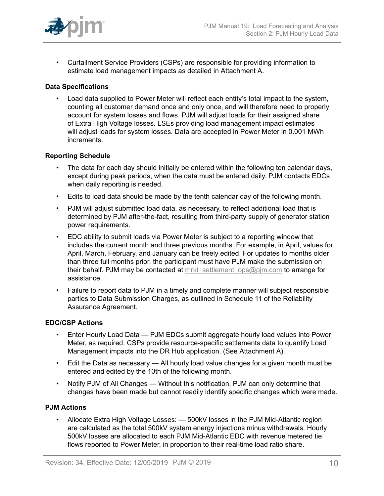

• Curtailment Service Providers (CSPs) are responsible for providing information to estimate load management impacts as detailed in Attachment A.

## **Data Specifications**

• Load data supplied to Power Meter will reflect each entity's total impact to the system, counting all customer demand once and only once, and will therefore need to properly account for system losses and flows. PJM will adjust loads for their assigned share of Extra High Voltage losses. LSEs providing load management impact estimates will adjust loads for system losses. Data are accepted in Power Meter in 0.001 MWh increments.

#### **Reporting Schedule**

- The data for each day should initially be entered within the following ten calendar days, except during peak periods, when the data must be entered daily. PJM contacts EDCs when daily reporting is needed.
- Edits to load data should be made by the tenth calendar day of the following month.
- PJM will adjust submitted load data, as necessary, to reflect additional load that is determined by PJM after-the-fact, resulting from third-party supply of generator station power requirements.
- EDC ability to submit loads via Power Meter is subject to a reporting window that includes the current month and three previous months. For example, in April, values for April, March, February, and January can be freely edited. For updates to months older than three full months prior, the participant must have PJM make the submission on their behalf. PJM may be contacted at mrkt settlement ops@pjm.com to arrange for assistance.
- Failure to report data to PJM in a timely and complete manner will subject responsible parties to Data Submission Charges, as outlined in Schedule 11 of the Reliability Assurance Agreement.

#### **EDC/CSP Actions**

- Enter Hourly Load Data PJM EDCs submit aggregate hourly load values into Power Meter, as required. CSPs provide resource-specific settlements data to quantify Load Management impacts into the DR Hub application. (See Attachment A).
- Edit the Data as necessary All hourly load value changes for a given month must be entered and edited by the 10th of the following month.
- Notify PJM of All Changes Without this notification, PJM can only determine that changes have been made but cannot readily identify specific changes which were made.

## **PJM Actions**

• Allocate Extra High Voltage Losses: — 500kV losses in the PJM Mid-Atlantic region are calculated as the total 500kV system energy injections minus withdrawals. Hourly 500kV losses are allocated to each PJM Mid-Atlantic EDC with revenue metered tie flows reported to Power Meter, in proportion to their real-time load ratio share.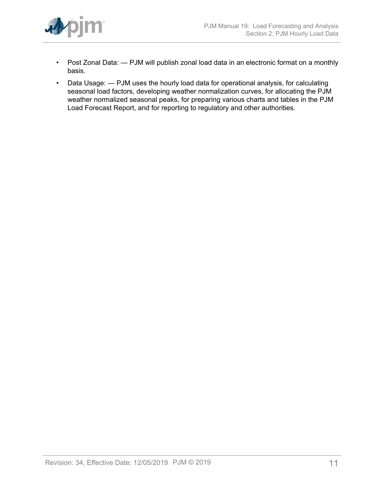

- Post Zonal Data: PJM will publish zonal load data in an electronic format on a monthly basis.
- Data Usage: PJM uses the hourly load data for operational analysis, for calculating seasonal load factors, developing weather normalization curves, for allocating the PJM weather normalized seasonal peaks, for preparing various charts and tables in the PJM Load Forecast Report, and for reporting to regulatory and other authorities.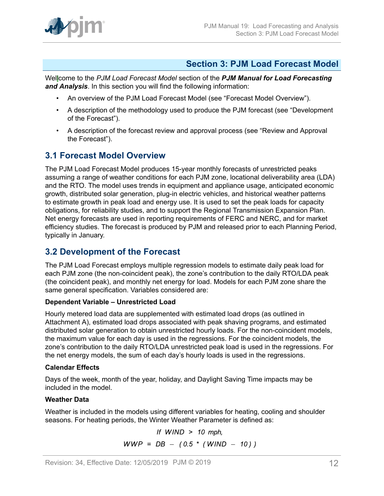

## <span id="page-11-0"></span>**Section 3: PJM Load Forecast Model**

Wellcome to the *PJM Load Forecast Model* section of the *PJM Manual for Load Forecasting and Analysis*. In this section you will find the following information:

- An overview of the PJM Load Forecast Model (see "Forecast Model Overview").
- A description of the methodology used to produce the PJM forecast (see "Development of the Forecast").
- A description of the forecast review and approval process (see "Review and Approval the Forecast").

## <span id="page-11-1"></span>**3.1 Forecast Model Overview**

The PJM Load Forecast Model produces 15-year monthly forecasts of unrestricted peaks assuming a range of weather conditions for each PJM zone, locational deliverability area (LDA) and the RTO. The model uses trends in equipment and appliance usage, anticipated economic growth, distributed solar generation, plug-in electric vehicles, and historical weather patterns to estimate growth in peak load and energy use. It is used to set the peak loads for capacity obligations, for reliability studies, and to support the Regional Transmission Expansion Plan. Net energy forecasts are used in reporting requirements of FERC and NERC, and for market efficiency studies. The forecast is produced by PJM and released prior to each Planning Period, typically in January.

## <span id="page-11-2"></span>**3.2 Development of the Forecast**

The PJM Load Forecast employs multiple regression models to estimate daily peak load for each PJM zone (the non-coincident peak), the zone's contribution to the daily RTO/LDA peak (the coincident peak), and monthly net energy for load. Models for each PJM zone share the same general specification. Variables considered are:

## **Dependent Variable – Unrestricted Load**

Hourly metered load data are supplemented with estimated load drops (as outlined in Attachment A), estimated load drops associated with peak shaving programs, and estimated distributed solar generation to obtain unrestricted hourly loads. For the non-coincident models, the maximum value for each day is used in the regressions. For the coincident models, the zone's contribution to the daily RTO/LDA unrestricted peak load is used in the regressions. For the net energy models, the sum of each day's hourly loads is used in the regressions.

## **Calendar Effects**

Days of the week, month of the year, holiday, and Daylight Saving Time impacts may be included in the model.

## **Weather Data**

Weather is included in the models using different variables for heating, cooling and shoulder seasons. For heating periods, the Winter Weather Parameter is defined as:

> If  $WIND > 10$  mph,  $WWP = DB - (0.5 * (WIND - 10))$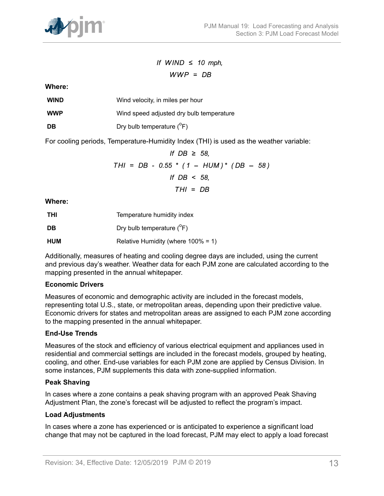

If WIND  $\leq$  10 mph,  $WWP = DB$ 

**Where:**

| <b>WIND</b> | Wind velocity, in miles per hour |
|-------------|----------------------------------|
|-------------|----------------------------------|

**WWP** Wind speed adjusted dry bulb temperature

**DB** Dry bulb temperature (<sup>o</sup>F)

For cooling periods, Temperature-Humidity Index (THI) is used as the weather variable:

If DB 
$$
\geq 58
$$
,  
THI = DB - 0.55 \* (1 - HUM)\* (DB - 58)  
If DB < 58,  
THI = DB

**Where:**

| <b>THI</b> | Temperature humidity index             |
|------------|----------------------------------------|
| DB         | Dry bulb temperature $(^{\circ}F)$     |
| HUM        | Relative Humidity (where $100\% = 1$ ) |

Additionally, measures of heating and cooling degree days are included, using the current and previous day's weather. Weather data for each PJM zone are calculated according to the mapping presented in the annual whitepaper.

## **Economic Drivers**

Measures of economic and demographic activity are included in the forecast models, representing total U.S., state, or metropolitan areas, depending upon their predictive value. Economic drivers for states and metropolitan areas are assigned to each PJM zone according to the mapping presented in the annual whitepaper.

## **End-Use Trends**

Measures of the stock and efficiency of various electrical equipment and appliances used in residential and commercial settings are included in the forecast models, grouped by heating, cooling, and other. End-use variables for each PJM zone are applied by Census Division. In some instances, PJM supplements this data with zone-supplied information.

## **Peak Shaving**

In cases where a zone contains a peak shaving program with an approved Peak Shaving Adjustment Plan, the zone's forecast will be adjusted to reflect the program's impact.

## **Load Adjustments**

In cases where a zone has experienced or is anticipated to experience a significant load change that may not be captured in the load forecast, PJM may elect to apply a load forecast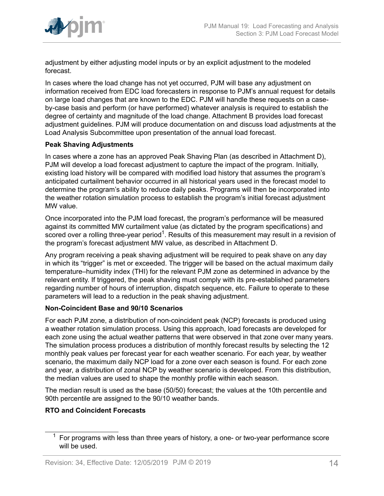

adjustment by either adjusting model inputs or by an explicit adjustment to the modeled forecast.

In cases where the load change has not yet occurred, PJM will base any adjustment on information received from EDC load forecasters in response to PJM's annual request for details on large load changes that are known to the EDC. PJM will handle these requests on a caseby-case basis and perform (or have performed) whatever analysis is required to establish the degree of certainty and magnitude of the load change. Attachment B provides load forecast adjustment guidelines. PJM will produce documentation on and discuss load adjustments at the Load Analysis Subcommittee upon presentation of the annual load forecast.

## **Peak Shaving Adjustments**

In cases where a zone has an approved Peak Shaving Plan (as described in Attachment D), PJM will develop a load forecast adjustment to capture the impact of the program. Initially, existing load history will be compared with modified load history that assumes the program's anticipated curtailment behavior occurred in all historical years used in the forecast model to determine the program's ability to reduce daily peaks. Programs will then be incorporated into the weather rotation simulation process to establish the program's initial forecast adjustment MW value.

Once incorporated into the PJM load forecast, the program's performance will be measured against its committed MW curtailment value (as dictated by the program specifications) and scored over a rolling three-year period<sup>1</sup>. Results of this measurement may result in a revision of the program's forecast adjustment MW value, as described in Attachment D.

Any program receiving a peak shaving adjustment will be required to peak shave on any day in which its "trigger" is met or exceeded. The trigger will be based on the actual maximum daily temperature–humidity index (THI) for the relevant PJM zone as determined in advance by the relevant entity. If triggered, the peak shaving must comply with its pre-established parameters regarding number of hours of interruption, dispatch sequence, etc. Failure to operate to these parameters will lead to a reduction in the peak shaving adjustment.

## **Non-Coincident Base and 90/10 Scenarios**

For each PJM zone, a distribution of non-coincident peak (NCP) forecasts is produced using a weather rotation simulation process. Using this approach, load forecasts are developed for each zone using the actual weather patterns that were observed in that zone over many years. The simulation process produces a distribution of monthly forecast results by selecting the 12 monthly peak values per forecast year for each weather scenario. For each year, by weather scenario, the maximum daily NCP load for a zone over each season is found. For each zone and year, a distribution of zonal NCP by weather scenario is developed. From this distribution, the median values are used to shape the monthly profile within each season.

The median result is used as the base (50/50) forecast; the values at the 10th percentile and 90th percentile are assigned to the 90/10 weather bands.

## **RTO and Coincident Forecasts**

<sup>1</sup> For programs with less than three years of history, a one- or two-year performance score will be used.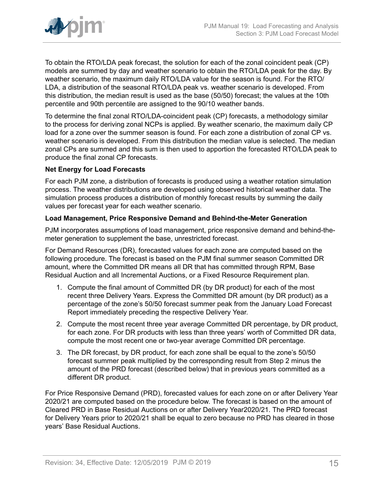

To obtain the RTO/LDA peak forecast, the solution for each of the zonal coincident peak (CP) models are summed by day and weather scenario to obtain the RTO/LDA peak for the day. By weather scenario, the maximum daily RTO/LDA value for the season is found. For the RTO/ LDA, a distribution of the seasonal RTO/LDA peak vs. weather scenario is developed. From this distribution, the median result is used as the base (50/50) forecast; the values at the 10th percentile and 90th percentile are assigned to the 90/10 weather bands.

To determine the final zonal RTO/LDA-coincident peak (CP) forecasts, a methodology similar to the process for deriving zonal NCPs is applied. By weather scenario, the maximum daily CP load for a zone over the summer season is found. For each zone a distribution of zonal CP vs. weather scenario is developed. From this distribution the median value is selected. The median zonal CPs are summed and this sum is then used to apportion the forecasted RTO/LDA peak to produce the final zonal CP forecasts.

## **Net Energy for Load Forecasts**

For each PJM zone, a distribution of forecasts is produced using a weather rotation simulation process. The weather distributions are developed using observed historical weather data. The simulation process produces a distribution of monthly forecast results by summing the daily values per forecast year for each weather scenario.

#### **Load Management, Price Responsive Demand and Behind-the-Meter Generation**

PJM incorporates assumptions of load management, price responsive demand and behind-themeter generation to supplement the base, unrestricted forecast.

For Demand Resources (DR), forecasted values for each zone are computed based on the following procedure. The forecast is based on the PJM final summer season Committed DR amount, where the Committed DR means all DR that has committed through RPM, Base Residual Auction and all Incremental Auctions, or a Fixed Resource Requirement plan.

- 1. Compute the final amount of Committed DR (by DR product) for each of the most recent three Delivery Years. Express the Committed DR amount (by DR product) as a percentage of the zone's 50/50 forecast summer peak from the January Load Forecast Report immediately preceding the respective Delivery Year.
- 2. Compute the most recent three year average Committed DR percentage, by DR product, for each zone. For DR products with less than three years' worth of Committed DR data, compute the most recent one or two-year average Committed DR percentage.
- 3. The DR forecast, by DR product, for each zone shall be equal to the zone's 50/50 forecast summer peak multiplied by the corresponding result from Step 2 minus the amount of the PRD forecast (described below) that in previous years committed as a different DR product.

For Price Responsive Demand (PRD), forecasted values for each zone on or after Delivery Year 2020/21 are computed based on the procedure below. The forecast is based on the amount of Cleared PRD in Base Residual Auctions on or after Delivery Year2020/21. The PRD forecast for Delivery Years prior to 2020/21 shall be equal to zero because no PRD has cleared in those years' Base Residual Auctions.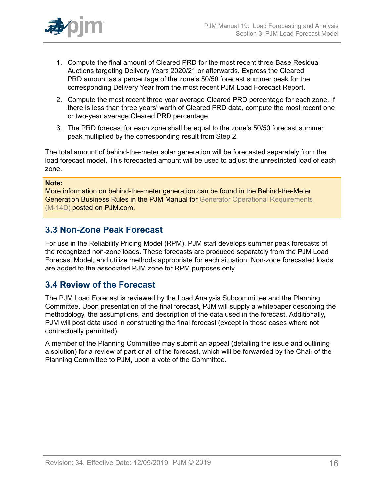

- 1. Compute the final amount of Cleared PRD for the most recent three Base Residual Auctions targeting Delivery Years 2020/21 or afterwards. Express the Cleared PRD amount as a percentage of the zone's 50/50 forecast summer peak for the corresponding Delivery Year from the most recent PJM Load Forecast Report.
- 2. Compute the most recent three year average Cleared PRD percentage for each zone. If there is less than three years' worth of Cleared PRD data, compute the most recent one or two-year average Cleared PRD percentage.
- 3. The PRD forecast for each zone shall be equal to the zone's 50/50 forecast summer peak multiplied by the corresponding result from Step 2.

The total amount of behind-the-meter solar generation will be forecasted separately from the load forecast model. This forecasted amount will be used to adjust the unrestricted load of each zone.

#### **Note:**

More information on behind-the-meter generation can be found in the Behind-the-Meter Generation Business Rules in the PJM Manual for [Generator Operational Requirements](http://www.pjm.com/~/media/documents/manuals/m14d.ashx) [\(M-14D\)](http://www.pjm.com/~/media/documents/manuals/m14d.ashx) posted on PJM.com.

## <span id="page-15-0"></span>**3.3 Non-Zone Peak Forecast**

For use in the Reliability Pricing Model (RPM), PJM staff develops summer peak forecasts of the recognized non-zone loads. These forecasts are produced separately from the PJM Load Forecast Model, and utilize methods appropriate for each situation. Non-zone forecasted loads are added to the associated PJM zone for RPM purposes only.

## <span id="page-15-1"></span>**3.4 Review of the Forecast**

The PJM Load Forecast is reviewed by the Load Analysis Subcommittee and the Planning Committee. Upon presentation of the final forecast, PJM will supply a whitepaper describing the methodology, the assumptions, and description of the data used in the forecast. Additionally, PJM will post data used in constructing the final forecast (except in those cases where not contractually permitted).

A member of the Planning Committee may submit an appeal (detailing the issue and outlining a solution) for a review of part or all of the forecast, which will be forwarded by the Chair of the Planning Committee to PJM, upon a vote of the Committee.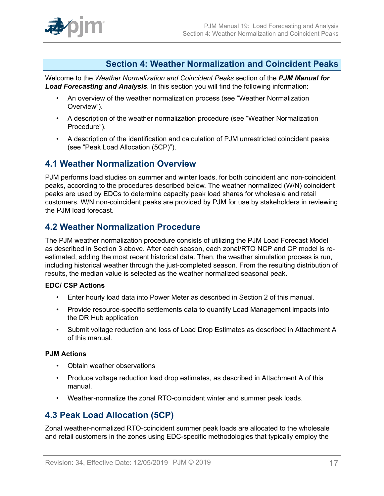

## <span id="page-16-0"></span>**Section 4: Weather Normalization and Coincident Peaks**

Welcome to the *Weather Normalization and Coincident Peaks* section of the *PJM Manual for Load Forecasting and Analysis*. In this section you will find the following information:

- An overview of the weather normalization process (see "Weather Normalization Overview").
- A description of the weather normalization procedure (see "Weather Normalization Procedure").
- A description of the identification and calculation of PJM unrestricted coincident peaks (see "Peak Load Allocation (5CP)").

## <span id="page-16-1"></span>**4.1 Weather Normalization Overview**

PJM performs load studies on summer and winter loads, for both coincident and non-coincident peaks, according to the procedures described below. The weather normalized (W/N) coincident peaks are used by EDCs to determine capacity peak load shares for wholesale and retail customers. W/N non-coincident peaks are provided by PJM for use by stakeholders in reviewing the PJM load forecast.

## <span id="page-16-2"></span>**4.2 Weather Normalization Procedure**

The PJM weather normalization procedure consists of utilizing the PJM Load Forecast Model as described in Section 3 above. After each season, each zonal/RTO NCP and CP model is reestimated, adding the most recent historical data. Then, the weather simulation process is run, including historical weather through the just-completed season. From the resulting distribution of results, the median value is selected as the weather normalized seasonal peak.

## **EDC/ CSP Actions**

- Enter hourly load data into Power Meter as described in Section 2 of this manual.
- Provide resource-specific settlements data to quantify Load Management impacts into the DR Hub application
- Submit voltage reduction and loss of Load Drop Estimates as described in Attachment A of this manual.

#### **PJM Actions**

- Obtain weather observations
- Produce voltage reduction load drop estimates, as described in Attachment A of this manual.
- Weather-normalize the zonal RTO-coincident winter and summer peak loads.

## <span id="page-16-3"></span>**4.3 Peak Load Allocation (5CP)**

Zonal weather-normalized RTO-coincident summer peak loads are allocated to the wholesale and retail customers in the zones using EDC-specific methodologies that typically employ the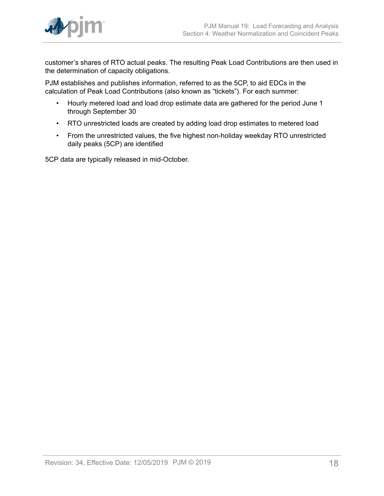

customer's shares of RTO actual peaks. The resulting Peak Load Contributions are then used in the determination of capacity obligations.

PJM establishes and publishes information, referred to as the 5CP, to aid EDCs in the calculation of Peak Load Contributions (also known as "tickets"). For each summer:

- Hourly metered load and load drop estimate data are gathered for the period June 1 through September 30
- RTO unrestricted loads are created by adding load drop estimates to metered load
- From the unrestricted values, the five highest non-holiday weekday RTO unrestricted daily peaks (5CP) are identified

5CP data are typically released in mid-October.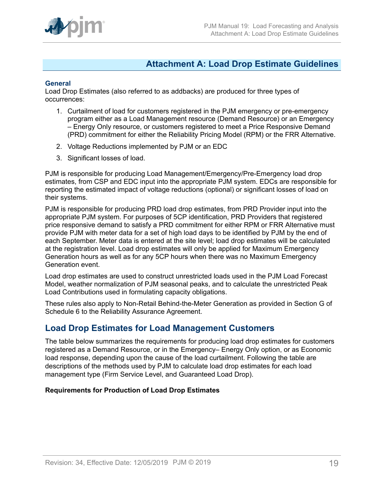

## <span id="page-18-0"></span>**Attachment A: Load Drop Estimate Guidelines**

#### **General**

Load Drop Estimates (also referred to as addbacks) are produced for three types of occurrences:

- 1. Curtailment of load for customers registered in the PJM emergency or pre-emergency program either as a Load Management resource (Demand Resource) or an Emergency – Energy Only resource, or customers registered to meet a Price Responsive Demand (PRD) commitment for either the Reliability Pricing Model (RPM) or the FRR Alternative.
- 2. Voltage Reductions implemented by PJM or an EDC
- 3. Significant losses of load.

PJM is responsible for producing Load Management/Emergency/Pre-Emergency load drop estimates, from CSP and EDC input into the appropriate PJM system. EDCs are responsible for reporting the estimated impact of voltage reductions (optional) or significant losses of load on their systems.

PJM is responsible for producing PRD load drop estimates, from PRD Provider input into the appropriate PJM system. For purposes of 5CP identification, PRD Providers that registered price responsive demand to satisfy a PRD commitment for either RPM or FRR Alternative must provide PJM with meter data for a set of high load days to be identified by PJM by the end of each September. Meter data is entered at the site level; load drop estimates will be calculated at the registration level. Load drop estimates will only be applied for Maximum Emergency Generation hours as well as for any 5CP hours when there was no Maximum Emergency Generation event.

Load drop estimates are used to construct unrestricted loads used in the PJM Load Forecast Model, weather normalization of PJM seasonal peaks, and to calculate the unrestricted Peak Load Contributions used in formulating capacity obligations.

These rules also apply to Non-Retail Behind-the-Meter Generation as provided in Section G of Schedule 6 to the Reliability Assurance Agreement.

## <span id="page-18-1"></span>**Load Drop Estimates for Load Management Customers**

The table below summarizes the requirements for producing load drop estimates for customers registered as a Demand Resource, or in the Emergency– Energy Only option, or as Economic load response, depending upon the cause of the load curtailment. Following the table are descriptions of the methods used by PJM to calculate load drop estimates for each load management type (Firm Service Level, and Guaranteed Load Drop).

## **Requirements for Production of Load Drop Estimates**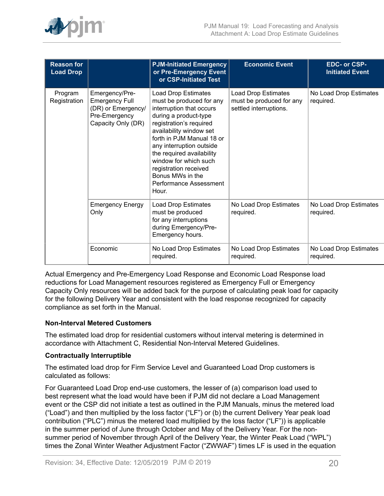

| <b>Reason for</b><br><b>Load Drop</b> |                                                                                                      | <b>PJM-Initiated Emergency</b><br>or Pre-Emergency Event<br>or CSP-Initiated Test                                                                                                                                                                                                                                                                         | <b>Economic Event</b>                                                     | EDC- or CSP-<br><b>Initiated Event</b> |
|---------------------------------------|------------------------------------------------------------------------------------------------------|-----------------------------------------------------------------------------------------------------------------------------------------------------------------------------------------------------------------------------------------------------------------------------------------------------------------------------------------------------------|---------------------------------------------------------------------------|----------------------------------------|
| Program<br>Registration               | Emergency/Pre-<br><b>Emergency Full</b><br>(DR) or Emergency/<br>Pre-Emergency<br>Capacity Only (DR) | Load Drop Estimates<br>must be produced for any<br>interruption that occurs<br>during a product-type<br>registration's required<br>availability window set<br>forth in PJM Manual 18 or<br>any interruption outside<br>the required availability<br>window for which such<br>registration received<br>Bonus MWs in the<br>Performance Assessment<br>Hour. | Load Drop Estimates<br>must be produced for any<br>settled interruptions. | No Load Drop Estimates<br>required.    |
|                                       | <b>Emergency Energy</b><br>Only                                                                      | <b>Load Drop Estimates</b><br>must be produced<br>for any interruptions<br>during Emergency/Pre-<br>Emergency hours.                                                                                                                                                                                                                                      | No Load Drop Estimates<br>required.                                       | No Load Drop Estimates<br>required.    |
|                                       | Economic                                                                                             | No Load Drop Estimates<br>required.                                                                                                                                                                                                                                                                                                                       | No Load Drop Estimates<br>required.                                       | No Load Drop Estimates<br>required.    |

Actual Emergency and Pre-Emergency Load Response and Economic Load Response load reductions for Load Management resources registered as Emergency Full or Emergency Capacity Only resources will be added back for the purpose of calculating peak load for capacity for the following Delivery Year and consistent with the load response recognized for capacity compliance as set forth in the Manual.

## **Non-Interval Metered Customers**

The estimated load drop for residential customers without interval metering is determined in accordance with Attachment C, Residential Non-Interval Metered Guidelines.

#### **Contractually Interruptible**

The estimated load drop for Firm Service Level and Guaranteed Load Drop customers is calculated as follows:

For Guaranteed Load Drop end-use customers, the lesser of (a) comparison load used to best represent what the load would have been if PJM did not declare a Load Management event or the CSP did not initiate a test as outlined in the PJM Manuals, minus the metered load ("Load") and then multiplied by the loss factor ("LF") or (b) the current Delivery Year peak load contribution ("PLC") minus the metered load multiplied by the loss factor ("LF")) is applicable in the summer period of June through October and May of the Delivery Year. For the nonsummer period of November through April of the Delivery Year, the Winter Peak Load ("WPL") times the Zonal Winter Weather Adjustment Factor ("ZWWAF") times LF is used in the equation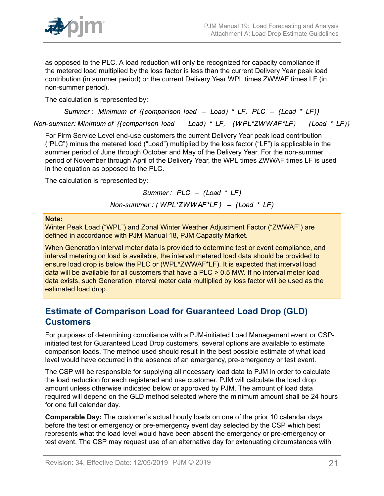

as opposed to the PLC. A load reduction will only be recognized for capacity compliance if the metered load multiplied by the loss factor is less than the current Delivery Year peak load contribution (in summer period) or the current Delivery Year WPL times ZWWAF times LF (in non-summer period).

The calculation is represented by:

Summer: Minimum of  $\{(\text{comparison load} - \text{Load}) * LF, PLC - (\text{Load} * LF)\}\$ 

Non-summer: Minimum of  $\{(\text{comparison load} - \text{Load}) * LF, (WPL*ZWWAF*LF) - (\text{Load} * LF)\}\$ 

For Firm Service Level end-use customers the current Delivery Year peak load contribution ("PLC") minus the metered load ("Load") multiplied by the loss factor ("LF") is applicable in the summer period of June through October and May of the Delivery Year. For the non-summer period of November through April of the Delivery Year, the WPL times ZWWAF times LF is used in the equation as opposed to the PLC.

The calculation is represented by:

Summer:  $PLC - (Load * LF)$ 

Non-summer: (WPL\*ZWWAF\*LF) - (Load \* LF)

#### **Note:**

Winter Peak Load ("WPL") and Zonal Winter Weather Adjustment Factor ("ZWWAF") are defined in accordance with PJM Manual 18, PJM Capacity Market.

When Generation interval meter data is provided to determine test or event compliance, and interval metering on load is available, the interval metered load data should be provided to ensure load drop is below the PLC or (WPL\*ZWWAF\*LF). It is expected that interval load data will be available for all customers that have a PLC > 0.5 MW. If no interval meter load data exists, such Generation interval meter data multiplied by loss factor will be used as the estimated load drop.

## <span id="page-20-0"></span>**Estimate of Comparison Load for Guaranteed Load Drop (GLD) Customers**

For purposes of determining compliance with a PJM-initiated Load Management event or CSPinitiated test for Guaranteed Load Drop customers, several options are available to estimate comparison loads. The method used should result in the best possible estimate of what load level would have occurred in the absence of an emergency, pre-emergency or test event.

The CSP will be responsible for supplying all necessary load data to PJM in order to calculate the load reduction for each registered end use customer. PJM will calculate the load drop amount unless otherwise indicated below or approved by PJM. The amount of load data required will depend on the GLD method selected where the minimum amount shall be 24 hours for one full calendar day.

**Comparable Day:** The customer's actual hourly loads on one of the prior 10 calendar days before the test or emergency or pre-emergency event day selected by the CSP which best represents what the load level would have been absent the emergency or pre-emergency or test event. The CSP may request use of an alternative day for extenuating circumstances with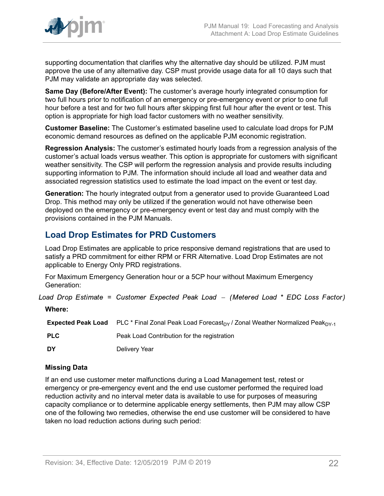

supporting documentation that clarifies why the alternative day should be utilized. PJM must approve the use of any alternative day. CSP must provide usage data for all 10 days such that PJM may validate an appropriate day was selected.

**Same Day (Before/After Event):** The customer's average hourly integrated consumption for two full hours prior to notification of an emergency or pre-emergency event or prior to one full hour before a test and for two full hours after skipping first full hour after the event or test. This option is appropriate for high load factor customers with no weather sensitivity.

**Customer Baseline:** The Customer's estimated baseline used to calculate load drops for PJM economic demand resources as defined on the applicable PJM economic registration.

**Regression Analysis:** The customer's estimated hourly loads from a regression analysis of the customer's actual loads versus weather. This option is appropriate for customers with significant weather sensitivity. The CSP will perform the regression analysis and provide results including supporting information to PJM. The information should include all load and weather data and associated regression statistics used to estimate the load impact on the event or test day.

**Generation:** The hourly integrated output from a generator used to provide Guaranteed Load Drop. This method may only be utilized if the generation would not have otherwise been deployed on the emergency or pre-emergency event or test day and must comply with the provisions contained in the PJM Manuals.

## <span id="page-21-0"></span>**Load Drop Estimates for PRD Customers**

Load Drop Estimates are applicable to price responsive demand registrations that are used to satisfy a PRD commitment for either RPM or FRR Alternative. Load Drop Estimates are not applicable to Energy Only PRD registrations.

For Maximum Emergency Generation hour or a 5CP hour without Maximum Emergency Generation:

Load Drop Estimate = Customer Expected Peak Load - (Metered Load \* EDC Loss Factor)

**Where:**

**Expected Peak Load** PLC \* Final Zonal Peak Load Forecast<sub>DY</sub> / Zonal Weather Normalized Peak<sub>DY-1</sub> **PLC** Peak Load Contribution for the registration **DY** Delivery Year

## **Missing Data**

If an end use customer meter malfunctions during a Load Management test, retest or emergency or pre-emergency event and the end use customer performed the required load reduction activity and no interval meter data is available to use for purposes of measuring capacity compliance or to determine applicable energy settlements, then PJM may allow CSP one of the following two remedies, otherwise the end use customer will be considered to have taken no load reduction actions during such period: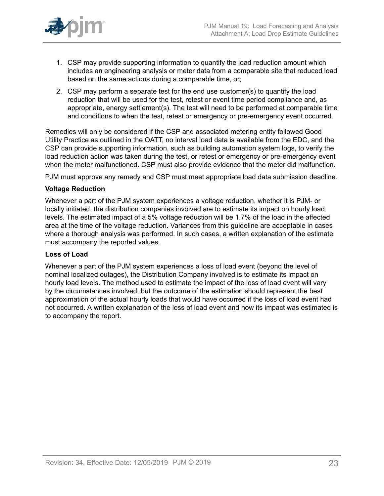

- 1. CSP may provide supporting information to quantify the load reduction amount which includes an engineering analysis or meter data from a comparable site that reduced load based on the same actions during a comparable time, or;
- 2. CSP may perform a separate test for the end use customer(s) to quantify the load reduction that will be used for the test, retest or event time period compliance and, as appropriate, energy settlement(s). The test will need to be performed at comparable time and conditions to when the test, retest or emergency or pre-emergency event occurred.

Remedies will only be considered if the CSP and associated metering entity followed Good Utility Practice as outlined in the OATT, no interval load data is available from the EDC, and the CSP can provide supporting information, such as building automation system logs, to verify the load reduction action was taken during the test, or retest or emergency or pre-emergency event when the meter malfunctioned. CSP must also provide evidence that the meter did malfunction.

PJM must approve any remedy and CSP must meet appropriate load data submission deadline.

#### **Voltage Reduction**

Whenever a part of the PJM system experiences a voltage reduction, whether it is PJM- or locally initiated, the distribution companies involved are to estimate its impact on hourly load levels. The estimated impact of a 5% voltage reduction will be 1.7% of the load in the affected area at the time of the voltage reduction. Variances from this guideline are acceptable in cases where a thorough analysis was performed. In such cases, a written explanation of the estimate must accompany the reported values.

#### **Loss of Load**

Whenever a part of the PJM system experiences a loss of load event (beyond the level of nominal localized outages), the Distribution Company involved is to estimate its impact on hourly load levels. The method used to estimate the impact of the loss of load event will vary by the circumstances involved, but the outcome of the estimation should represent the best approximation of the actual hourly loads that would have occurred if the loss of load event had not occurred. A written explanation of the loss of load event and how its impact was estimated is to accompany the report.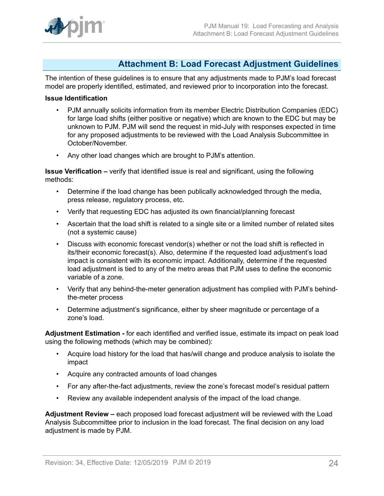## <span id="page-23-0"></span>**Attachment B: Load Forecast Adjustment Guidelines**

The intention of these guidelines is to ensure that any adjustments made to PJM's load forecast model are properly identified, estimated, and reviewed prior to incorporation into the forecast.

### **Issue Identification**

- PJM annually solicits information from its member Electric Distribution Companies (EDC) for large load shifts (either positive or negative) which are known to the EDC but may be unknown to PJM. PJM will send the request in mid-July with responses expected in time for any proposed adjustments to be reviewed with the Load Analysis Subcommittee in October/November.
- Any other load changes which are brought to PJM's attention.

**Issue Verification –** verify that identified issue is real and significant, using the following methods:

- Determine if the load change has been publically acknowledged through the media, press release, regulatory process, etc.
- Verify that requesting EDC has adjusted its own financial/planning forecast
- Ascertain that the load shift is related to a single site or a limited number of related sites (not a systemic cause)
- Discuss with economic forecast vendor(s) whether or not the load shift is reflected in its/their economic forecast(s). Also, determine if the requested load adjustment's load impact is consistent with its economic impact. Additionally, determine if the requested load adjustment is tied to any of the metro areas that PJM uses to define the economic variable of a zone.
- Verify that any behind-the-meter generation adjustment has complied with PJM's behindthe-meter process
- Determine adjustment's significance, either by sheer magnitude or percentage of a zone's load.

**Adjustment Estimation -** for each identified and verified issue, estimate its impact on peak load using the following methods (which may be combined):

- Acquire load history for the load that has/will change and produce analysis to isolate the impact
- Acquire any contracted amounts of load changes
- For any after-the-fact adjustments, review the zone's forecast model's residual pattern
- Review any available independent analysis of the impact of the load change.

**Adjustment Review –** each proposed load forecast adjustment will be reviewed with the Load Analysis Subcommittee prior to inclusion in the load forecast. The final decision on any load adjustment is made by PJM.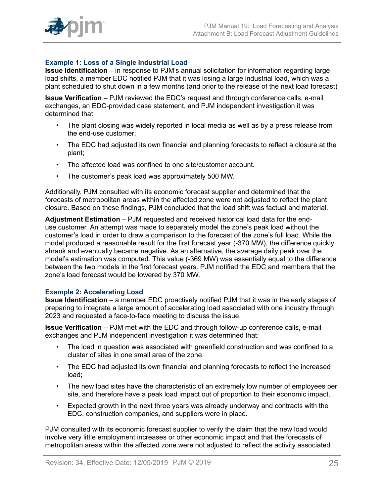

## **Example 1: Loss of a Single Industrial Load**

**Issue Identification** – in response to PJM's annual solicitation for information regarding large load shifts, a member EDC notified PJM that it was losing a large industrial load, which was a plant scheduled to shut down in a few months (and prior to the release of the next load forecast)

**Issue Verification** – PJM reviewed the EDC's request and through conference calls, e-mail exchanges, an EDC-provided case statement, and PJM independent investigation it was determined that:

- The plant closing was widely reported in local media as well as by a press release from the end-use customer;
- The EDC had adjusted its own financial and planning forecasts to reflect a closure at the plant;
- The affected load was confined to one site/customer account.
- The customer's peak load was approximately 500 MW.

Additionally, PJM consulted with its economic forecast supplier and determined that the forecasts of metropolitan areas within the affected zone were not adjusted to reflect the plant closure. Based on these findings, PJM concluded that the load shift was factual and material.

**Adjustment Estimation** – PJM requested and received historical load data for the enduse customer. An attempt was made to separately model the zone's peak load without the customer's load in order to draw a comparison to the forecast of the zone's full load. While the model produced a reasonable result for the first forecast year (-370 MW), the difference quickly shrank and eventually became negative. As an alternative, the average daily peak over the model's estimation was computed. This value (-369 MW) was essentially equal to the difference between the two models in the first forecast years. PJM notified the EDC and members that the zone's load forecast would be lowered by 370 MW.

#### **Example 2: Accelerating Load**

**Issue Identification** – a member EDC proactively notified PJM that it was in the early stages of preparing to integrate a large amount of accelerating load associated with one industry through 2023 and requested a face-to-face meeting to discuss the issue.

**Issue Verification** – PJM met with the EDC and through follow-up conference calls, e-mail exchanges and PJM independent investigation it was determined that:

- The load in question was associated with greenfield construction and was confined to a cluster of sites in one small area of the zone.
- The EDC had adjusted its own financial and planning forecasts to reflect the increased load;
- The new load sites have the characteristic of an extremely low number of employees per site, and therefore have a peak load impact out of proportion to their economic impact.
- Expected growth in the next three years was already underway and contracts with the EDC, construction companies, and suppliers were in place.

PJM consulted with its economic forecast supplier to verify the claim that the new load would involve very little employment increases or other economic impact and that the forecasts of metropolitan areas within the affected zone were not adjusted to reflect the activity associated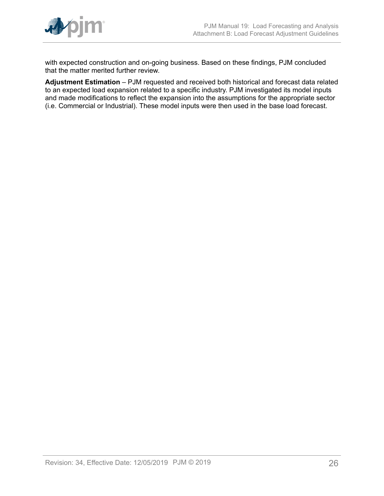

with expected construction and on-going business. Based on these findings, PJM concluded that the matter merited further review.

**Adjustment Estimation** – PJM requested and received both historical and forecast data related to an expected load expansion related to a specific industry. PJM investigated its model inputs and made modifications to reflect the expansion into the assumptions for the appropriate sector (i.e. Commercial or Industrial). These model inputs were then used in the base load forecast.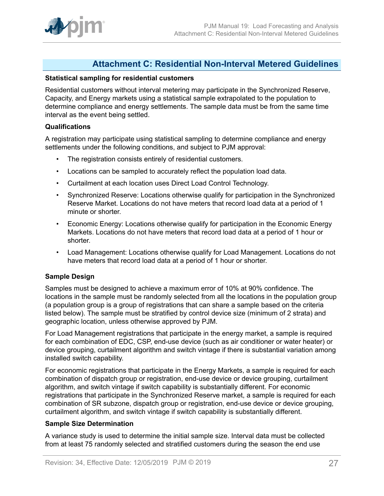

## <span id="page-26-0"></span>**Attachment C: Residential Non-Interval Metered Guidelines**

#### **Statistical sampling for residential customers**

Residential customers without interval metering may participate in the Synchronized Reserve, Capacity, and Energy markets using a statistical sample extrapolated to the population to determine compliance and energy settlements. The sample data must be from the same time interval as the event being settled.

#### **Qualifications**

A registration may participate using statistical sampling to determine compliance and energy settlements under the following conditions, and subject to PJM approval:

- The registration consists entirely of residential customers.
- Locations can be sampled to accurately reflect the population load data.
- Curtailment at each location uses Direct Load Control Technology.
- Synchronized Reserve: Locations otherwise qualify for participation in the Synchronized Reserve Market. Locations do not have meters that record load data at a period of 1 minute or shorter.
- Economic Energy: Locations otherwise qualify for participation in the Economic Energy Markets. Locations do not have meters that record load data at a period of 1 hour or shorter.
- Load Management: Locations otherwise qualify for Load Management. Locations do not have meters that record load data at a period of 1 hour or shorter.

## **Sample Design**

Samples must be designed to achieve a maximum error of 10% at 90% confidence. The locations in the sample must be randomly selected from all the locations in the population group (a population group is a group of registrations that can share a sample based on the criteria listed below). The sample must be stratified by control device size (minimum of 2 strata) and geographic location, unless otherwise approved by PJM.

For Load Management registrations that participate in the energy market, a sample is required for each combination of EDC, CSP, end-use device (such as air conditioner or water heater) or device grouping, curtailment algorithm and switch vintage if there is substantial variation among installed switch capability.

For economic registrations that participate in the Energy Markets, a sample is required for each combination of dispatch group or registration, end-use device or device grouping, curtailment algorithm, and switch vintage if switch capability is substantially different. For economic registrations that participate in the Synchronized Reserve market, a sample is required for each combination of SR subzone, dispatch group or registration, end-use device or device grouping, curtailment algorithm, and switch vintage if switch capability is substantially different.

#### **Sample Size Determination**

A variance study is used to determine the initial sample size. Interval data must be collected from at least 75 randomly selected and stratified customers during the season the end use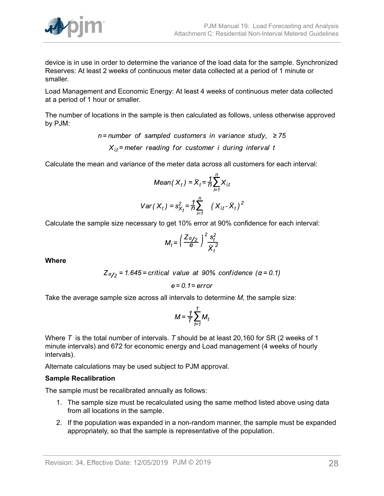

device is in use in order to determine the variance of the load data for the sample. Synchronized Reserves: At least 2 weeks of continuous meter data collected at a period of 1 minute or smaller.

Load Management and Economic Energy: At least 4 weeks of continuous meter data collected at a period of 1 hour or smaller.

The number of locations in the sample is then calculated as follows, unless otherwise approved by PJM:

> $n =$  number of sampled customers in variance study,  $\geq 75$  $X_{it}$  = meter reading for customer i during interval t

Calculate the mean and variance of the meter data across all customers for each interval:

$$
Mean(X_t) = \overline{X}_t = \frac{1}{n} \sum_{i=1}^n X_{i,t}
$$

$$
Var(X_t) = s_{X_t}^2 = \frac{1}{n} \sum_{i=1}^n (X_{i,t} - \overline{X}_t)^2
$$

Calculate the sample size necessary to get 10% error at 90% confidence for each interval:

$$
M_t = \left(\frac{Z\alpha_{12}}{\Theta}\right)^2 \frac{s_t^2}{\bar{X}_t^2}
$$

**Where**

$$
Z_{\alpha/2}
$$
 = 1.645 = critical value at 90% confidence (a = 0.1)

$$
e=0.1=error
$$

Take the average sample size across all intervals to determine *M,* the sample size:

$$
M = \frac{1}{T} \sum_{t=1}^{T} M_t
$$

Where *T* is the total number of intervals. *T* should be at least 20,160 for SR (2 weeks of 1 minute intervals) and 672 for economic energy and Load management (4 weeks of hourly intervals).

Alternate calculations may be used subject to PJM approval.

#### **Sample Recalibration**

The sample must be recalibrated annually as follows:

- 1. The sample size must be recalculated using the same method listed above using data from all locations in the sample.
- 2. If the population was expanded in a non-random manner, the sample must be expanded appropriately, so that the sample is representative of the population.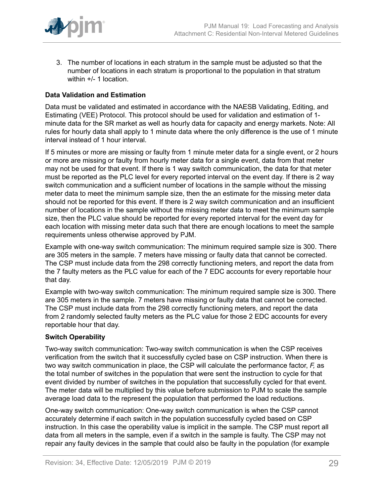

3. The number of locations in each stratum in the sample must be adjusted so that the number of locations in each stratum is proportional to the population in that stratum within +/- 1 location.

## **Data Validation and Estimation**

Data must be validated and estimated in accordance with the NAESB Validating, Editing, and Estimating (VEE) Protocol. This protocol should be used for validation and estimation of 1 minute data for the SR market as well as hourly data for capacity and energy markets. Note: All rules for hourly data shall apply to 1 minute data where the only difference is the use of 1 minute interval instead of 1 hour interval.

If 5 minutes or more are missing or faulty from 1 minute meter data for a single event, or 2 hours or more are missing or faulty from hourly meter data for a single event, data from that meter may not be used for that event. If there is 1 way switch communication, the data for that meter must be reported as the PLC level for every reported interval on the event day. If there is 2 way switch communication and a sufficient number of locations in the sample without the missing meter data to meet the minimum sample size, then the an estimate for the missing meter data should not be reported for this event. If there is 2 way switch communication and an insufficient number of locations in the sample without the missing meter data to meet the minimum sample size, then the PLC value should be reported for every reported interval for the event day for each location with missing meter data such that there are enough locations to meet the sample requirements unless otherwise approved by PJM.

Example with one-way switch communication: The minimum required sample size is 300. There are 305 meters in the sample. 7 meters have missing or faulty data that cannot be corrected. The CSP must include data from the 298 correctly functioning meters, and report the data from the 7 faulty meters as the PLC value for each of the 7 EDC accounts for every reportable hour that day.

Example with two-way switch communication: The minimum required sample size is 300. There are 305 meters in the sample. 7 meters have missing or faulty data that cannot be corrected. The CSP must include data from the 298 correctly functioning meters, and report the data from 2 randomly selected faulty meters as the PLC value for those 2 EDC accounts for every reportable hour that day.

## **Switch Operability**

Two-way switch communication: Two-way switch communication is when the CSP receives verification from the switch that it successfully cycled base on CSP instruction. When there is two way switch communication in place, the CSP will calculate the performance factor, *F,* as the total number of switches in the population that were sent the instruction to cycle for that event divided by number of switches in the population that successfully cycled for that event. The meter data will be multiplied by this value before submission to PJM to scale the sample average load data to the represent the population that performed the load reductions.

One-way switch communication: One-way switch communication is when the CSP cannot accurately determine if each switch in the population successfully cycled based on CSP instruction. In this case the operability value is implicit in the sample. The CSP must report all data from all meters in the sample, even if a switch in the sample is faulty. The CSP may not repair any faulty devices in the sample that could also be faulty in the population (for example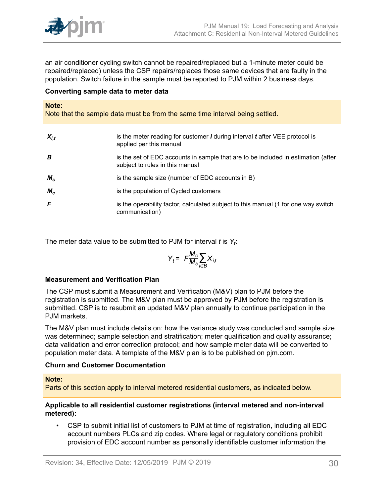

an air conditioner cycling switch cannot be repaired/replaced but a 1-minute meter could be repaired/replaced) unless the CSP repairs/replaces those same devices that are faulty in the population. Switch failure in the sample must be reported to PJM within 2 business days.

### **Converting sample data to meter data**

#### **Note:**

Note that the sample data must be from the same time interval being settled.

| $X_{i,t}$   | is the meter reading for customer $\bm{i}$ during interval $\bm{t}$ after VEE protocol is<br>applied per this manual |
|-------------|----------------------------------------------------------------------------------------------------------------------|
| B           | is the set of EDC accounts in sample that are to be included in estimation (after<br>subject to rules in this manual |
| $M_{\rm s}$ | is the sample size (number of EDC accounts in B)                                                                     |
| $M_c$       | is the population of Cycled customers                                                                                |
| F           | is the operability factor, calculated subject to this manual (1 for one way switch<br>communication)                 |

The meter data value to be submitted to PJM for interval *t* is *Y<sup>t</sup>* :

$$
Y_t = F \frac{M_c}{M_s} \sum_{i \in B} X_{i,t}
$$

#### **Measurement and Verification Plan**

The CSP must submit a Measurement and Verification (M&V) plan to PJM before the registration is submitted. The M&V plan must be approved by PJM before the registration is submitted. CSP is to resubmit an updated M&V plan annually to continue participation in the PJM markets.

The M&V plan must include details on: how the variance study was conducted and sample size was determined; sample selection and stratification; meter qualification and quality assurance; data validation and error correction protocol; and how sample meter data will be converted to population meter data. A template of the M&V plan is to be published on pjm.com.

#### **Churn and Customer Documentation**

#### **Note:**

Parts of this section apply to interval metered residential customers, as indicated below.

#### **Applicable to all residential customer registrations (interval metered and non-interval metered):**

• CSP to submit initial list of customers to PJM at time of registration, including all EDC account numbers PLCs and zip codes. Where legal or regulatory conditions prohibit provision of EDC account number as personally identifiable customer information the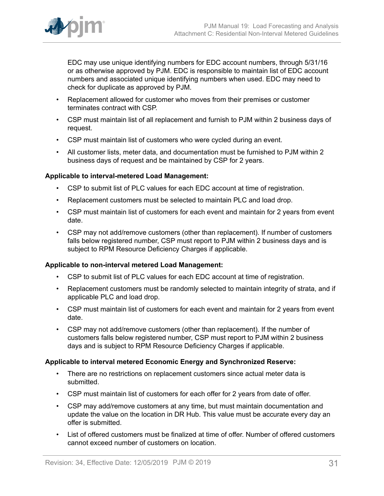

EDC may use unique identifying numbers for EDC account numbers, through 5/31/16 or as otherwise approved by PJM. EDC is responsible to maintain list of EDC account numbers and associated unique identifying numbers when used. EDC may need to check for duplicate as approved by PJM.

- Replacement allowed for customer who moves from their premises or customer terminates contract with CSP.
- CSP must maintain list of all replacement and furnish to PJM within 2 business days of request.
- CSP must maintain list of customers who were cycled during an event.
- All customer lists, meter data, and documentation must be furnished to PJM within 2 business days of request and be maintained by CSP for 2 years.

## **Applicable to interval-metered Load Management:**

- CSP to submit list of PLC values for each EDC account at time of registration.
- Replacement customers must be selected to maintain PLC and load drop.
- CSP must maintain list of customers for each event and maintain for 2 years from event date.
- CSP may not add/remove customers (other than replacement). If number of customers falls below registered number, CSP must report to PJM within 2 business days and is subject to RPM Resource Deficiency Charges if applicable.

## **Applicable to non-interval metered Load Management:**

- CSP to submit list of PLC values for each EDC account at time of registration.
- Replacement customers must be randomly selected to maintain integrity of strata, and if applicable PLC and load drop.
- CSP must maintain list of customers for each event and maintain for 2 years from event date.
- CSP may not add/remove customers (other than replacement). If the number of customers falls below registered number, CSP must report to PJM within 2 business days and is subject to RPM Resource Deficiency Charges if applicable.

## **Applicable to interval metered Economic Energy and Synchronized Reserve:**

- There are no restrictions on replacement customers since actual meter data is submitted.
- CSP must maintain list of customers for each offer for 2 years from date of offer.
- CSP may add/remove customers at any time, but must maintain documentation and update the value on the location in DR Hub. This value must be accurate every day an offer is submitted.
- List of offered customers must be finalized at time of offer. Number of offered customers cannot exceed number of customers on location.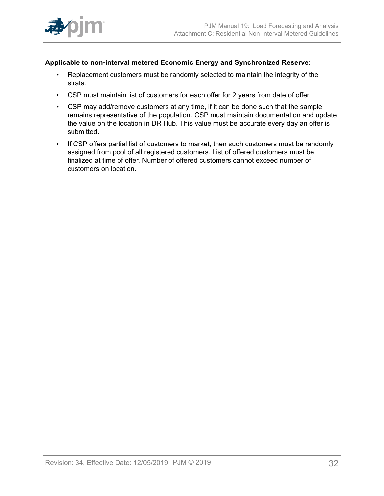

## **Applicable to non-interval metered Economic Energy and Synchronized Reserve:**

- Replacement customers must be randomly selected to maintain the integrity of the strata.
- CSP must maintain list of customers for each offer for 2 years from date of offer.
- CSP may add/remove customers at any time, if it can be done such that the sample remains representative of the population. CSP must maintain documentation and update the value on the location in DR Hub. This value must be accurate every day an offer is submitted.
- If CSP offers partial list of customers to market, then such customers must be randomly assigned from pool of all registered customers. List of offered customers must be finalized at time of offer. Number of offered customers cannot exceed number of customers on location.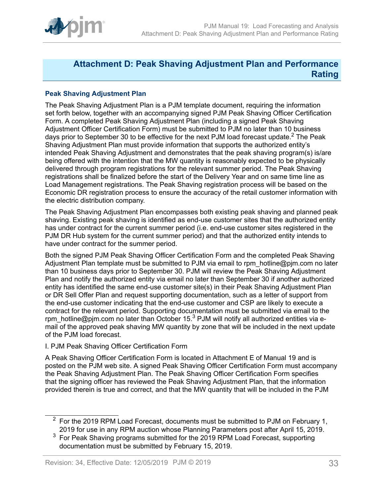

## <span id="page-32-0"></span>**Attachment D: Peak Shaving Adjustment Plan and Performance Rating**

## **Peak Shaving Adjustment Plan**

The Peak Shaving Adjustment Plan is a PJM template document, requiring the information set forth below, together with an accompanying signed PJM Peak Shaving Officer Certification Form. A completed Peak Shaving Adjustment Plan (including a signed Peak Shaving Adjustment Officer Certification Form) must be submitted to PJM no later than 10 business days prior to September 30 to be effective for the next PJM load forecast update.<sup>2</sup> The Peak Shaving Adjustment Plan must provide information that supports the authorized entity's intended Peak Shaving Adjustment and demonstrates that the peak shaving program(s) is/are being offered with the intention that the MW quantity is reasonably expected to be physically delivered through program registrations for the relevant summer period. The Peak Shaving registrations shall be finalized before the start of the Delivery Year and on same time line as Load Management registrations. The Peak Shaving registration process will be based on the Economic DR registration process to ensure the accuracy of the retail customer information with the electric distribution company.

The Peak Shaving Adjustment Plan encompasses both existing peak shaving and planned peak shaving. Existing peak shaving is identified as end-use customer sites that the authorized entity has under contract for the current summer period (i.e. end-use customer sites registered in the PJM DR Hub system for the current summer period) and that the authorized entity intends to have under contract for the summer period.

Both the signed PJM Peak Shaving Officer Certification Form and the completed Peak Shaving Adjustment Plan template must be submitted to PJM via email to rpm\_hotline@pjm.com no later than 10 business days prior to September 30. PJM will review the Peak Shaving Adjustment Plan and notify the authorized entity via email no later than September 30 if another authorized entity has identified the same end-use customer site(s) in their Peak Shaving Adjustment Plan or DR Sell Offer Plan and request supporting documentation, such as a letter of support from the end-use customer indicating that the end-use customer and CSP are likely to execute a contract for the relevant period. Supporting documentation must be submitted via email to the rpm\_hotline@pjm.com no later than October 15.<sup>3</sup> PJM will notify all authorized entities via email of the approved peak shaving MW quantity by zone that will be included in the next update of the PJM load forecast.

## I. PJM Peak Shaving Officer Certification Form

A Peak Shaving Officer Certification Form is located in Attachment E of Manual 19 and is posted on the PJM web site. A signed Peak Shaving Officer Certification Form must accompany the Peak Shaving Adjustment Plan. The Peak Shaving Officer Certification Form specifies that the signing officer has reviewed the Peak Shaving Adjustment Plan, that the information provided therein is true and correct, and that the MW quantity that will be included in the PJM

 $2$  For the 2019 RPM Load Forecast, documents must be submitted to PJM on February 1, 2019 for use in any RPM auction whose Planning Parameters post after April 15, 2019.

 $3$  For Peak Shaving programs submitted for the 2019 RPM Load Forecast, supporting documentation must be submitted by February 15, 2019.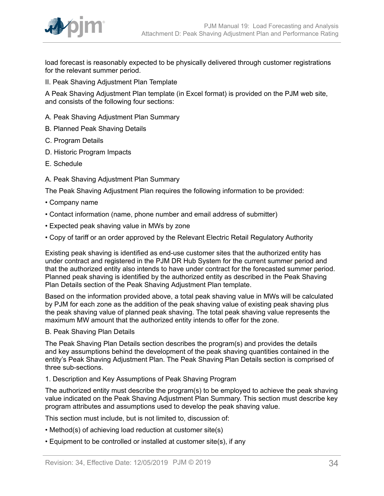

load forecast is reasonably expected to be physically delivered through customer registrations for the relevant summer period.

II. Peak Shaving Adjustment Plan Template

A Peak Shaving Adjustment Plan template (in Excel format) is provided on the PJM web site, and consists of the following four sections:

- A. Peak Shaving Adjustment Plan Summary
- B. Planned Peak Shaving Details
- C. Program Details
- D. Historic Program Impacts
- E. Schedule
- A. Peak Shaving Adjustment Plan Summary

The Peak Shaving Adjustment Plan requires the following information to be provided:

- Company name
- Contact information (name, phone number and email address of submitter)
- Expected peak shaving value in MWs by zone
- Copy of tariff or an order approved by the Relevant Electric Retail Regulatory Authority

Existing peak shaving is identified as end-use customer sites that the authorized entity has under contract and registered in the PJM DR Hub System for the current summer period and that the authorized entity also intends to have under contract for the forecasted summer period. Planned peak shaving is identified by the authorized entity as described in the Peak Shaving Plan Details section of the Peak Shaving Adjustment Plan template.

Based on the information provided above, a total peak shaving value in MWs will be calculated by PJM for each zone as the addition of the peak shaving value of existing peak shaving plus the peak shaving value of planned peak shaving. The total peak shaving value represents the maximum MW amount that the authorized entity intends to offer for the zone.

## B. Peak Shaving Plan Details

The Peak Shaving Plan Details section describes the program(s) and provides the details and key assumptions behind the development of the peak shaving quantities contained in the entity's Peak Shaving Adjustment Plan. The Peak Shaving Plan Details section is comprised of three sub-sections.

#### 1. Description and Key Assumptions of Peak Shaving Program

The authorized entity must describe the program(s) to be employed to achieve the peak shaving value indicated on the Peak Shaving Adjustment Plan Summary. This section must describe key program attributes and assumptions used to develop the peak shaving value.

This section must include, but is not limited to, discussion of:

- Method(s) of achieving load reduction at customer site(s)
- Equipment to be controlled or installed at customer site(s), if any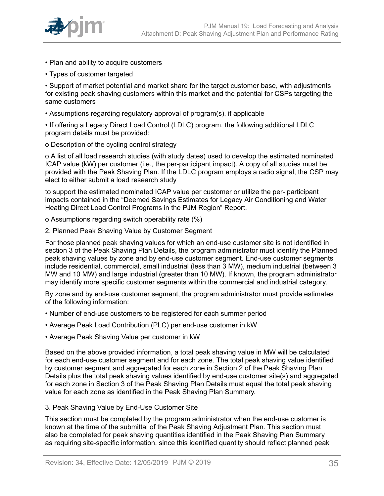

- Plan and ability to acquire customers
- Types of customer targeted

• Support of market potential and market share for the target customer base, with adjustments for existing peak shaving customers within this market and the potential for CSPs targeting the same customers

• Assumptions regarding regulatory approval of program(s), if applicable

• If offering a Legacy Direct Load Control (LDLC) program, the following additional LDLC program details must be provided:

o Description of the cycling control strategy

o A list of all load research studies (with study dates) used to develop the estimated nominated ICAP value (kW) per customer (i.e., the per-participant impact). A copy of all studies must be provided with the Peak Shaving Plan. If the LDLC program employs a radio signal, the CSP may elect to either submit a load research study

to support the estimated nominated ICAP value per customer or utilize the per- participant impacts contained in the "Deemed Savings Estimates for Legacy Air Conditioning and Water Heating Direct Load Control Programs in the PJM Region" Report.

o Assumptions regarding switch operability rate (%)

2. Planned Peak Shaving Value by Customer Segment

For those planned peak shaving values for which an end-use customer site is not identified in section 3 of the Peak Shaving Plan Details, the program administrator must identify the Planned peak shaving values by zone and by end-use customer segment. End-use customer segments include residential, commercial, small industrial (less than 3 MW), medium industrial (between 3 MW and 10 MW) and large industrial (greater than 10 MW). If known, the program administrator may identify more specific customer segments within the commercial and industrial category.

By zone and by end-use customer segment, the program administrator must provide estimates of the following information:

- Number of end-use customers to be registered for each summer period
- Average Peak Load Contribution (PLC) per end-use customer in kW
- Average Peak Shaving Value per customer in kW

Based on the above provided information, a total peak shaving value in MW will be calculated for each end-use customer segment and for each zone. The total peak shaving value identified by customer segment and aggregated for each zone in Section 2 of the Peak Shaving Plan Details plus the total peak shaving values identified by end-use customer site(s) and aggregated for each zone in Section 3 of the Peak Shaving Plan Details must equal the total peak shaving value for each zone as identified in the Peak Shaving Plan Summary.

3. Peak Shaving Value by End-Use Customer Site

This section must be completed by the program administrator when the end-use customer is known at the time of the submittal of the Peak Shaving Adjustment Plan. This section must also be completed for peak shaving quantities identified in the Peak Shaving Plan Summary as requiring site-specific information, since this identified quantity should reflect planned peak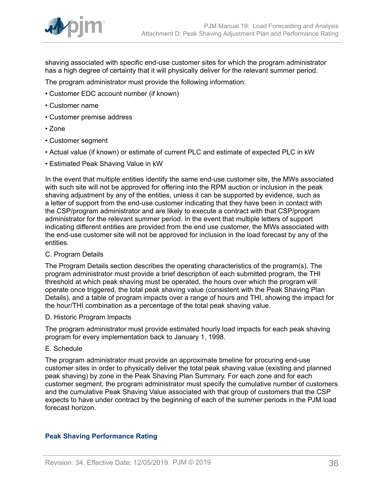

shaving associated with specific end-use customer sites for which the program administrator has a high degree of certainty that it will physically deliver for the relevant summer period.

The program administrator must provide the following information:

- Customer EDC account number (if known)
- Customer name
- Customer premise address
- Zone
- Customer segment
- Actual value (if known) or estimate of current PLC and estimate of expected PLC in kW
- Estimated Peak Shaving Value in kW

In the event that multiple entities identify the same end-use customer site, the MWs associated with such site will not be approved for offering into the RPM auction or inclusion in the peak shaving adjustment by any of the entities, unless it can be supported by evidence, such as a letter of support from the end-use customer indicating that they have been in contact with the CSP/program administrator and are likely to execute a contract with that CSP/program administrator for the relevant summer period. In the event that multiple letters of support indicating different entities are provided from the end use customer, the MWs associated with the end-use customer site will not be approved for inclusion in the load forecast by any of the entities.

C. Program Details

The Program Details section describes the operating characteristics of the program(s). The program administrator must provide a brief description of each submitted program, the THI threshold at which peak shaving must be operated, the hours over which the program will operate once triggered, the total peak shaving value (consistent with the Peak Shaving Plan Details), and a table of program impacts over a range of hours and THI, showing the impact for the hour/THI combination as a percentage of the total peak shaving value.

D. Historic Program Impacts

The program administrator must provide estimated hourly load impacts for each peak shaving program for every implementation back to January 1, 1998.

### E. Schedule

The program administrator must provide an approximate timeline for procuring end-use customer sites in order to physically deliver the total peak shaving value (existing and planned peak shaving) by zone in the Peak Shaving Plan Summary. For each zone and for each customer segment, the program administrator must specify the cumulative number of customers and the cumulative Peak Shaving Value associated with that group of customers that the CSP expects to have under contract by the beginning of each of the summer periods in the PJM load forecast horizon.

## **Peak Shaving Performance Rating**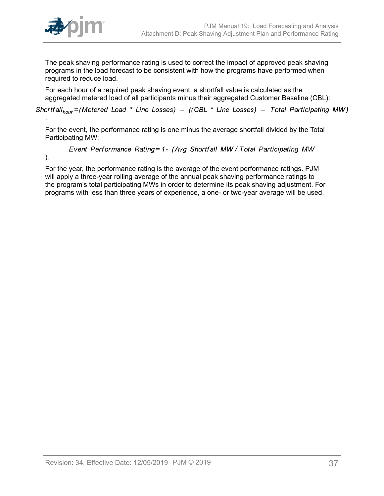

The peak shaving performance rating is used to correct the impact of approved peak shaving programs in the load forecast to be consistent with how the programs have performed when required to reduce load.

For each hour of a required peak shaving event, a shortfall value is calculated as the aggregated metered load of all participants minus their aggregated Customer Baseline (CBL):

Shortfall<sub>hour</sub> = (Metered Load \* Line Losses) – ((CBL \* Line Losses) – Total Participating MW)

For the event, the performance rating is one minus the average shortfall divided by the Total Participating MW:

Event Performance Rating = 1- (Avg Shortfall MW / Total Participating MW

).

.

For the year, the performance rating is the average of the event performance ratings. PJM will apply a three-year rolling average of the annual peak shaving performance ratings to the program's total participating MWs in order to determine its peak shaving adjustment. For programs with less than three years of experience, a one- or two-year average will be used.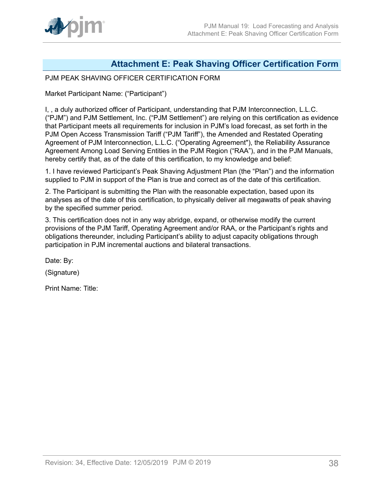## <span id="page-37-0"></span>**Attachment E: Peak Shaving Officer Certification Form**

## PJM PEAK SHAVING OFFICER CERTIFICATION FORM

Market Participant Name: ("Participant")

I, , a duly authorized officer of Participant, understanding that PJM Interconnection, L.L.C. ("PJM") and PJM Settlement, Inc. ("PJM Settlement") are relying on this certification as evidence that Participant meets all requirements for inclusion in PJM's load forecast, as set forth in the PJM Open Access Transmission Tariff ("PJM Tariff"), the Amended and Restated Operating Agreement of PJM Interconnection, L.L.C. ("Operating Agreement"), the Reliability Assurance Agreement Among Load Serving Entities in the PJM Region ("RAA"), and in the PJM Manuals, hereby certify that, as of the date of this certification, to my knowledge and belief:

1. I have reviewed Participant's Peak Shaving Adjustment Plan (the "Plan") and the information supplied to PJM in support of the Plan is true and correct as of the date of this certification.

2. The Participant is submitting the Plan with the reasonable expectation, based upon its analyses as of the date of this certification, to physically deliver all megawatts of peak shaving by the specified summer period.

3. This certification does not in any way abridge, expand, or otherwise modify the current provisions of the PJM Tariff, Operating Agreement and/or RAA, or the Participant's rights and obligations thereunder, including Participant's ability to adjust capacity obligations through participation in PJM incremental auctions and bilateral transactions.

Date: By:

(Signature)

Print Name: Title: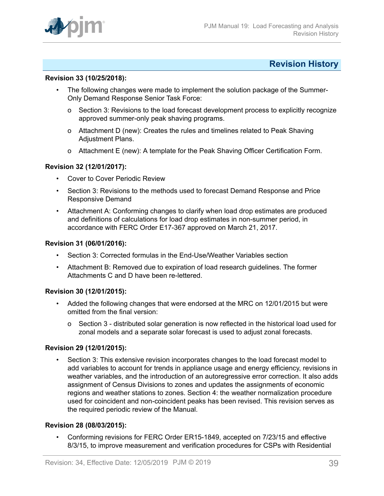

## <span id="page-38-0"></span>**Revision History**

#### **Revision 33 (10/25/2018):**

- The following changes were made to implement the solution package of the Summer-Only Demand Response Senior Task Force:
	- o Section 3: Revisions to the load forecast development process to explicitly recognize approved summer-only peak shaving programs.
	- o Attachment D (new): Creates the rules and timelines related to Peak Shaving Adjustment Plans.
	- o Attachment E (new): A template for the Peak Shaving Officer Certification Form.

#### **Revision 32 (12/01/2017):**

- **Cover to Cover Periodic Review**
- Section 3: Revisions to the methods used to forecast Demand Response and Price Responsive Demand
- Attachment A: Conforming changes to clarify when load drop estimates are produced and definitions of calculations for load drop estimates in non-summer period, in accordance with FERC Order E17-367 approved on March 21, 2017.

#### **Revision 31 (06/01/2016):**

- Section 3: Corrected formulas in the End-Use/Weather Variables section
- Attachment B: Removed due to expiration of load research guidelines. The former Attachments C and D have been re-lettered.

#### **Revision 30 (12/01/2015):**

- Added the following changes that were endorsed at the MRC on 12/01/2015 but were omitted from the final version:
	- o Section 3 distributed solar generation is now reflected in the historical load used for zonal models and a separate solar forecast is used to adjust zonal forecasts.

### **Revision 29 (12/01/2015):**

• Section 3: This extensive revision incorporates changes to the load forecast model to add variables to account for trends in appliance usage and energy efficiency, revisions in weather variables, and the introduction of an autoregressive error correction. It also adds assignment of Census Divisions to zones and updates the assignments of economic regions and weather stations to zones. Section 4: the weather normalization procedure used for coincident and non-coincident peaks has been revised. This revision serves as the required periodic review of the Manual.

#### **Revision 28 (08/03/2015):**

• Conforming revisions for FERC Order ER15-1849, accepted on 7/23/15 and effective 8/3/15, to improve measurement and verification procedures for CSPs with Residential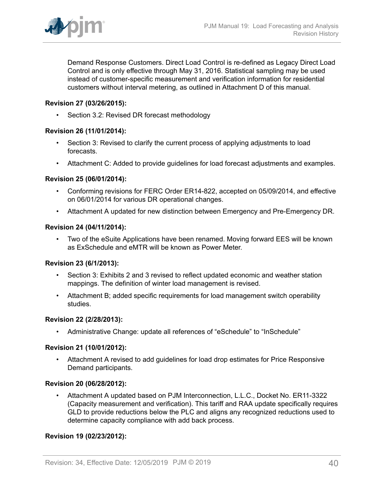Demand Response Customers. Direct Load Control is re-defined as Legacy Direct Load Control and is only effective through May 31, 2016. Statistical sampling may be used instead of customer-specific measurement and verification information for residential customers without interval metering, as outlined in Attachment D of this manual.

## **Revision 27 (03/26/2015):**

• Section 3.2: Revised DR forecast methodology

## **Revision 26 (11/01/2014):**

- Section 3: Revised to clarify the current process of applying adjustments to load forecasts.
- Attachment C: Added to provide guidelines for load forecast adjustments and examples.

## **Revision 25 (06/01/2014):**

- Conforming revisions for FERC Order ER14-822, accepted on 05/09/2014, and effective on 06/01/2014 for various DR operational changes.
- Attachment A updated for new distinction between Emergency and Pre-Emergency DR.

## **Revision 24 (04/11/2014):**

• Two of the eSuite Applications have been renamed. Moving forward EES will be known as ExSchedule and eMTR will be known as Power Meter.

## **Revision 23 (6/1/2013):**

- Section 3: Exhibits 2 and 3 revised to reflect updated economic and weather station mappings. The definition of winter load management is revised.
- Attachment B; added specific requirements for load management switch operability studies.

## **Revision 22 (2/28/2013):**

• Administrative Change: update all references of "eSchedule" to "InSchedule"

## **Revision 21 (10/01/2012):**

• Attachment A revised to add guidelines for load drop estimates for Price Responsive Demand participants.

#### **Revision 20 (06/28/2012):**

• Attachment A updated based on PJM Interconnection, L.L.C., Docket No. ER11-3322 (Capacity measurement and verification). This tariff and RAA update specifically requires GLD to provide reductions below the PLC and aligns any recognized reductions used to determine capacity compliance with add back process.

## **Revision 19 (02/23/2012):**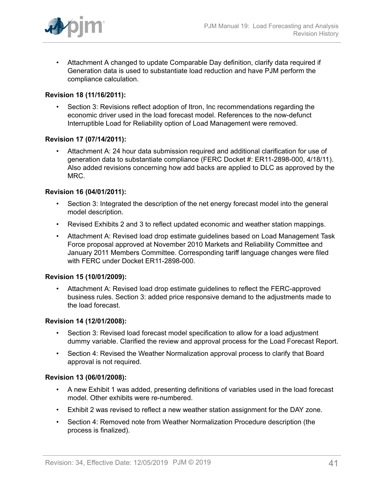

• Attachment A changed to update Comparable Day definition, clarify data required if Generation data is used to substantiate load reduction and have PJM perform the compliance calculation.

## **Revision 18 (11/16/2011):**

• Section 3: Revisions reflect adoption of Itron, Inc recommendations regarding the economic driver used in the load forecast model. References to the now-defunct Interruptible Load for Reliability option of Load Management were removed.

## **Revision 17 (07/14/2011):**

• Attachment A: 24 hour data submission required and additional clarification for use of generation data to substantiate compliance (FERC Docket #: ER11-2898-000, 4/18/11). Also added revisions concerning how add backs are applied to DLC as approved by the MRC.

#### **Revision 16 (04/01/2011):**

- Section 3: Integrated the description of the net energy forecast model into the general model description.
- Revised Exhibits 2 and 3 to reflect updated economic and weather station mappings.
- Attachment A: Revised load drop estimate guidelines based on Load Management Task Force proposal approved at November 2010 Markets and Reliability Committee and January 2011 Members Committee. Corresponding tariff language changes were filed with FERC under Docket ER11-2898-000.

#### **Revision 15 (10/01/2009):**

• Attachment A: Revised load drop estimate guidelines to reflect the FERC-approved business rules. Section 3: added price responsive demand to the adjustments made to the load forecast.

#### **Revision 14 (12/01/2008):**

- Section 3: Revised load forecast model specification to allow for a load adjustment dummy variable. Clarified the review and approval process for the Load Forecast Report.
- Section 4: Revised the Weather Normalization approval process to clarify that Board approval is not required.

#### **Revision 13 (06/01/2008):**

- A new Exhibit 1 was added, presenting definitions of variables used in the load forecast model. Other exhibits were re-numbered.
- Exhibit 2 was revised to reflect a new weather station assignment for the DAY zone.
- Section 4: Removed note from Weather Normalization Procedure description (the process is finalized).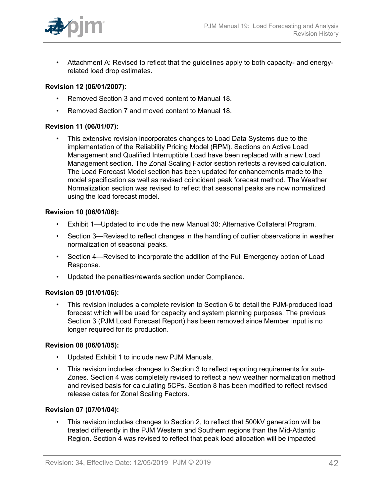

• Attachment A: Revised to reflect that the guidelines apply to both capacity- and energyrelated load drop estimates.

## **Revision 12 (06/01/2007):**

- Removed Section 3 and moved content to Manual 18.
- Removed Section 7 and moved content to Manual 18.

## **Revision 11 (06/01/07):**

• This extensive revision incorporates changes to Load Data Systems due to the implementation of the Reliability Pricing Model (RPM). Sections on Active Load Management and Qualified Interruptible Load have been replaced with a new Load Management section. The Zonal Scaling Factor section reflects a revised calculation. The Load Forecast Model section has been updated for enhancements made to the model specification as well as revised coincident peak forecast method. The Weather Normalization section was revised to reflect that seasonal peaks are now normalized using the load forecast model.

#### **Revision 10 (06/01/06):**

- Exhibit 1—Updated to include the new Manual 30: Alternative Collateral Program.
- Section 3—Revised to reflect changes in the handling of outlier observations in weather normalization of seasonal peaks.
- Section 4—Revised to incorporate the addition of the Full Emergency option of Load Response.
- Updated the penalties/rewards section under Compliance.

## **Revision 09 (01/01/06):**

• This revision includes a complete revision to Section 6 to detail the PJM-produced load forecast which will be used for capacity and system planning purposes. The previous Section 3 (PJM Load Forecast Report) has been removed since Member input is no longer required for its production.

#### **Revision 08 (06/01/05):**

- Updated Exhibit 1 to include new PJM Manuals.
- This revision includes changes to Section 3 to reflect reporting requirements for sub-Zones. Section 4 was completely revised to reflect a new weather normalization method and revised basis for calculating 5CPs. Section 8 has been modified to reflect revised release dates for Zonal Scaling Factors.

#### **Revision 07 (07/01/04):**

This revision includes changes to Section 2, to reflect that 500kV generation will be treated differently in the PJM Western and Southern regions than the Mid-Atlantic Region. Section 4 was revised to reflect that peak load allocation will be impacted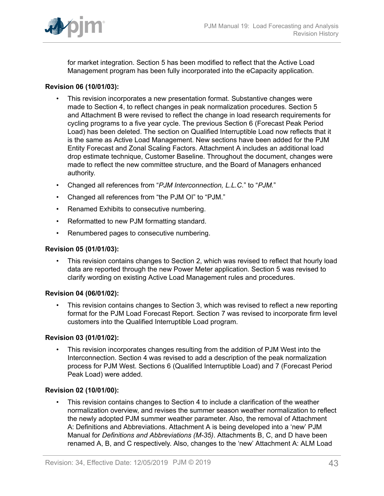

for market integration. Section 5 has been modified to reflect that the Active Load Management program has been fully incorporated into the eCapacity application.

## **Revision 06 (10/01/03):**

- This revision incorporates a new presentation format. Substantive changes were made to Section 4, to reflect changes in peak normalization procedures. Section 5 and Attachment B were revised to reflect the change in load research requirements for cycling programs to a five year cycle. The previous Section 6 (Forecast Peak Period Load) has been deleted. The section on Qualified Interruptible Load now reflects that it is the same as Active Load Management. New sections have been added for the PJM Entity Forecast and Zonal Scaling Factors. Attachment A includes an additional load drop estimate technique, Customer Baseline. Throughout the document, changes were made to reflect the new committee structure, and the Board of Managers enhanced authority.
- Changed all references from "*PJM Interconnection, L.L.C.*" to "*PJM.*"
- Changed all references from "the PJM OI" to "PJM."
- Renamed Exhibits to consecutive numbering.
- Reformatted to new PJM formatting standard.
- Renumbered pages to consecutive numbering.

### **Revision 05 (01/01/03):**

• This revision contains changes to Section 2, which was revised to reflect that hourly load data are reported through the new Power Meter application. Section 5 was revised to clarify wording on existing Active Load Management rules and procedures.

## **Revision 04 (06/01/02):**

• This revision contains changes to Section 3, which was revised to reflect a new reporting format for the PJM Load Forecast Report. Section 7 was revised to incorporate firm level customers into the Qualified Interruptible Load program.

#### **Revision 03 (01/01/02):**

• This revision incorporates changes resulting from the addition of PJM West into the Interconnection. Section 4 was revised to add a description of the peak normalization process for PJM West. Sections 6 (Qualified Interruptible Load) and 7 (Forecast Period Peak Load) were added.

## **Revision 02 (10/01/00):**

• This revision contains changes to Section 4 to include a clarification of the weather normalization overview, and revises the summer season weather normalization to reflect the newly adopted PJM summer weather parameter. Also, the removal of Attachment A: Definitions and Abbreviations. Attachment A is being developed into a 'new' PJM Manual for *Definitions and Abbreviations (M-35)*. Attachments B, C, and D have been renamed A, B, and C respectively. Also, changes to the 'new' Attachment A: ALM Load